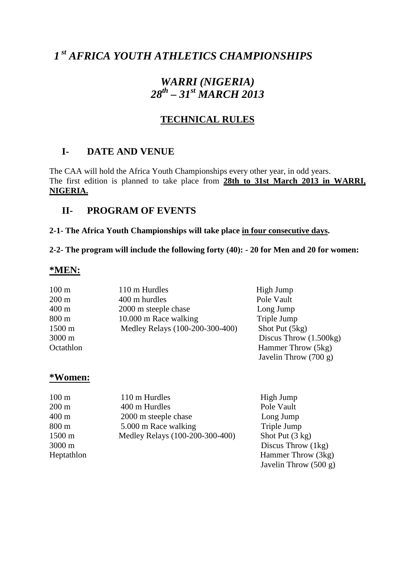# *1 st AFRICA YOUTH ATHLETICS CHAMPIONSHIPS*

## *WARRI (NIGERIA) 28th – 31st MARCH 2013*

### **TECHNICAL RULES**

### **I- DATE AND VENUE**

The CAA will hold the Africa Youth Championships every other year, in odd years. The first edition is planned to take place from **28th to 31st March 2013 in WARRI, NIGERIA.**

### **II- PROGRAM OF EVENTS**

#### **2-1- The Africa Youth Championships will take place in four consecutive days.**

**2-2- The program will include the following forty (40): - 20 for Men and 20 for women:** 

#### **\*MEN:**

| $100 \text{ m}$  | 110 m Hurdles                   | High Jump                |
|------------------|---------------------------------|--------------------------|
| $200 \text{ m}$  | 400 m hurdles                   | Pole Vault               |
| $400 \text{ m}$  | 2000 m steeple chase            | Long Jump                |
| $800 \text{ m}$  | 10.000 m Race walking           | Triple Jump              |
| $1500 \text{ m}$ | Medley Relays (100-200-300-400) | Shot Put (5kg)           |
| 3000 m           |                                 | Discus Throw $(1.500kg)$ |
| Octathlon        |                                 | Hammer Throw (5kg)       |
|                  |                                 | Javelin Throw $(700 g)$  |

#### **\*Women:**

| $100 \text{ m}$<br>110 m Hurdles          | High Jump                 |
|-------------------------------------------|---------------------------|
| $200 \text{ m}$<br>400 m Hurdles          | Pole Vault                |
| $400 \text{ m}$<br>2000 m steeple chase   | Long Jump                 |
| 5.000 m Race walking<br>$800 \text{ m}$   | Triple Jump               |
| Medley Relays (100-200-300-400)<br>1500 m | Shot Put $(3 \text{ kg})$ |
| 3000 m                                    | Discus Throw $(1kg)$      |
| Heptathlon                                | Hammer Throw (3kg)        |
|                                           | Javelin Throw $(500 g)$   |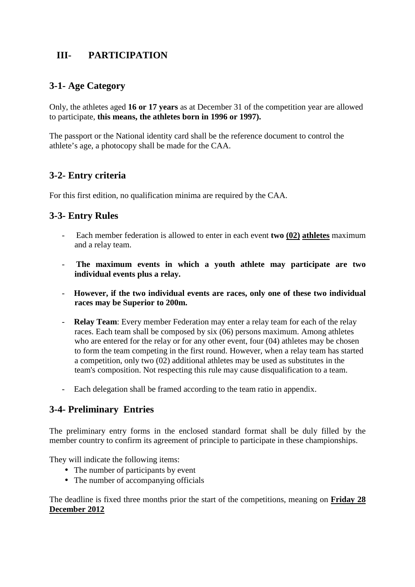### **III- PARTICIPATION**

### **3-1- Age Category**

Only, the athletes aged **16 or 17 years** as at December 31 of the competition year are allowed to participate, **this means, the athletes born in 1996 or 1997).** 

The passport or the National identity card shall be the reference document to control the athlete's age, a photocopy shall be made for the CAA.

### **3-2- Entry criteria**

For this first edition, no qualification minima are required by the CAA.

### **3-3- Entry Rules**

- Each member federation is allowed to enter in each event **two (02) athletes** maximum and a relay team.
- - **The maximum events in which a youth athlete may participate are two individual events plus a relay.**
- **However, if the two individual events are races, only one of these two individual races may be Superior to 200m.**
- **Relay Team**: Every member Federation may enter a relay team for each of the relay races. Each team shall be composed by six (06) persons maximum. Among athletes who are entered for the relay or for any other event, four (04) athletes may be chosen to form the team competing in the first round. However, when a relay team has started a competition, only two (02) additional athletes may be used as substitutes in the team's composition. Not respecting this rule may cause disqualification to a team.
- Each delegation shall be framed according to the team ratio in appendix.

### **3-4- Preliminary Entries**

The preliminary entry forms in the enclosed standard format shall be duly filled by the member country to confirm its agreement of principle to participate in these championships.

They will indicate the following items:

- The number of participants by event
- The number of accompanying officials

The deadline is fixed three months prior the start of the competitions, meaning on **Friday 28 December 2012**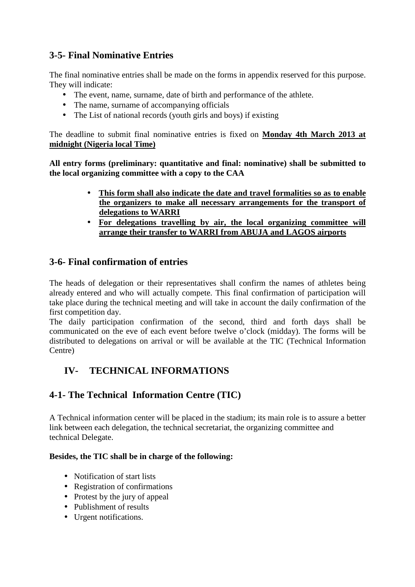### **3-5- Final Nominative Entries**

The final nominative entries shall be made on the forms in appendix reserved for this purpose. They will indicate:

- The event, name, surname, date of birth and performance of the athlete.
- The name, surname of accompanying officials
- The List of national records (youth girls and boys) if existing

The deadline to submit final nominative entries is fixed on **Monday 4th March 2013 at midnight (Nigeria local Time)**

**All entry forms (preliminary: quantitative and final: nominative) shall be submitted to the local organizing committee with a copy to the CAA** 

- **This form shall also indicate the date and travel formalities so as to enable the organizers to make all necessary arrangements for the transport of delegations to WARRI**
- **For delegations travelling by air, the local organizing committee will arrange their transfer to WARRI from ABUJA and LAGOS airports**

### **3-6- Final confirmation of entries**

The heads of delegation or their representatives shall confirm the names of athletes being already entered and who will actually compete. This final confirmation of participation will take place during the technical meeting and will take in account the daily confirmation of the first competition day.

The daily participation confirmation of the second, third and forth days shall be communicated on the eve of each event before twelve o'clock (midday). The forms will be distributed to delegations on arrival or will be available at the TIC (Technical Information Centre)

### **IV- TECHNICAL INFORMATIONS**

### **4-1- The Technical Information Centre (TIC)**

A Technical information center will be placed in the stadium; its main role is to assure a better link between each delegation, the technical secretariat, the organizing committee and technical Delegate.

#### **Besides, the TIC shall be in charge of the following:**

- Notification of start lists
- Registration of confirmations
- Protest by the jury of appeal
- Publishment of results
- Urgent notifications.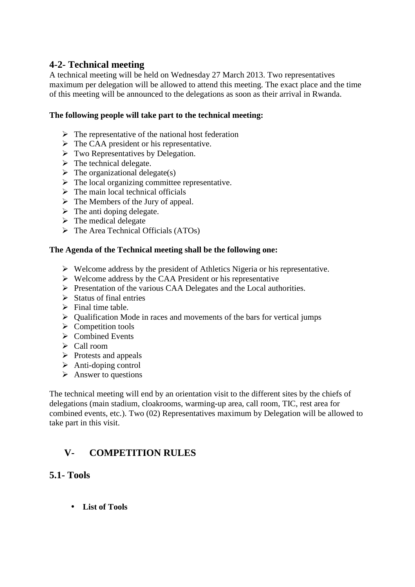### **4-2- Technical meeting**

A technical meeting will be held on Wednesday 27 March 2013. Two representatives maximum per delegation will be allowed to attend this meeting. The exact place and the time of this meeting will be announced to the delegations as soon as their arrival in Rwanda.

#### **The following people will take part to the technical meeting:**

- $\triangleright$  The representative of the national host federation
- $\triangleright$  The CAA president or his representative.
- $\triangleright$  Two Representatives by Delegation.
- $\triangleright$  The technical delegate.
- $\triangleright$  The organizational delegate(s)
- $\triangleright$  The local organizing committee representative.
- $\triangleright$  The main local technical officials
- $\triangleright$  The Members of the Jury of appeal.
- $\triangleright$  The anti doping delegate.
- $\triangleright$  The medical delegate
- $\triangleright$  The Area Technical Officials (ATOs)

#### **The Agenda of the Technical meeting shall be the following one:**

- $\triangleright$  Welcome address by the president of Athletics Nigeria or his representative.
- $\triangleright$  Welcome address by the CAA President or his representative
- $\triangleright$  Presentation of the various CAA Delegates and the Local authorities.
- $\triangleright$  Status of final entries
- $\triangleright$  Final time table.
- $\triangleright$  Qualification Mode in races and movements of the bars for vertical jumps
- $\triangleright$  Competition tools
- $\triangleright$  Combined Events
- Call room
- $\triangleright$  Protests and appeals
- $\triangleright$  Anti-doping control
- $\triangleright$  Answer to questions

The technical meeting will end by an orientation visit to the different sites by the chiefs of delegations (main stadium, cloakrooms, warming-up area, call room, TIC, rest area for combined events, etc.). Two (02) Representatives maximum by Delegation will be allowed to take part in this visit.

### **V- COMPETITION RULES**

#### **5.1- Tools**

• **List of Tools**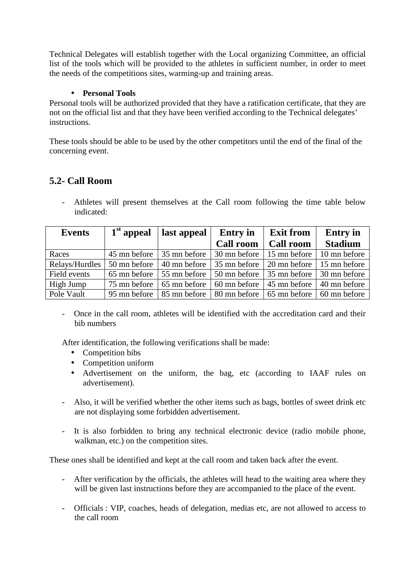Technical Delegates will establish together with the Local organizing Committee, an official list of the tools which will be provided to the athletes in sufficient number, in order to meet the needs of the competitions sites, warming-up and training areas.

#### • **Personal Tools**

Personal tools will be authorized provided that they have a ratification certificate, that they are not on the official list and that they have been verified according to the Technical delegates' instructions.

These tools should be able to be used by the other competitors until the end of the final of the concerning event.

### **5.2- Call Room**

Athletes will present themselves at the Call room following the time table below indicated:

| <b>Events</b>  | $1st$ appeal | last appeal  | <b>Entry</b> in             | <b>Exit from</b> | <b>Entry</b> in |
|----------------|--------------|--------------|-----------------------------|------------------|-----------------|
|                |              |              | <b>Call room</b>            | <b>Call room</b> | <b>Stadium</b>  |
| Races          | 45 mn before | 35 mn before | 30 mn before                | 15 mn before     | 10 mn before    |
| Relays/Hurdles | 50 mn before | 40 mn before | 35 mn before                | 20 mn before     | 15 mn before    |
| Field events   | 65 mn before | 55 mn before | 50 mn before                | 35 mn before     | 30 mn before    |
| High Jump      | 75 mn before | 65 mn before | $60 \text{ mm}$ before      | 45 mn before     | 40 mn before    |
| Pole Vault     | 95 mn before | 85 mn before | 80 mn before   65 mn before |                  | 60 mn before    |

- Once in the call room, athletes will be identified with the accreditation card and their bib numbers

After identification, the following verifications shall be made:

- Competition bibs
- Competition uniform
- Advertisement on the uniform, the bag, etc (according to IAAF rules on advertisement).
- Also, it will be verified whether the other items such as bags, bottles of sweet drink etc are not displaying some forbidden advertisement.
- It is also forbidden to bring any technical electronic device (radio mobile phone, walkman, etc.) on the competition sites.

These ones shall be identified and kept at the call room and taken back after the event.

- After verification by the officials, the athletes will head to the waiting area where they will be given last instructions before they are accompanied to the place of the event.
- Officials : VIP, coaches, heads of delegation, medias etc, are not allowed to access to the call room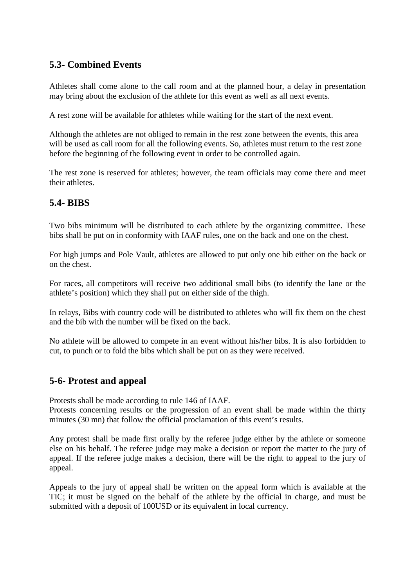### **5.3- Combined Events**

Athletes shall come alone to the call room and at the planned hour, a delay in presentation may bring about the exclusion of the athlete for this event as well as all next events.

A rest zone will be available for athletes while waiting for the start of the next event.

Although the athletes are not obliged to remain in the rest zone between the events, this area will be used as call room for all the following events. So, athletes must return to the rest zone before the beginning of the following event in order to be controlled again.

The rest zone is reserved for athletes; however, the team officials may come there and meet their athletes.

### **5.4- BIBS**

Two bibs minimum will be distributed to each athlete by the organizing committee. These bibs shall be put on in conformity with IAAF rules, one on the back and one on the chest.

For high jumps and Pole Vault, athletes are allowed to put only one bib either on the back or on the chest.

For races, all competitors will receive two additional small bibs (to identify the lane or the athlete's position) which they shall put on either side of the thigh.

In relays, Bibs with country code will be distributed to athletes who will fix them on the chest and the bib with the number will be fixed on the back.

No athlete will be allowed to compete in an event without his/her bibs. It is also forbidden to cut, to punch or to fold the bibs which shall be put on as they were received.

### **5-6- Protest and appeal**

Protests shall be made according to rule 146 of IAAF.

Protests concerning results or the progression of an event shall be made within the thirty minutes (30 mn) that follow the official proclamation of this event's results.

Any protest shall be made first orally by the referee judge either by the athlete or someone else on his behalf. The referee judge may make a decision or report the matter to the jury of appeal. If the referee judge makes a decision, there will be the right to appeal to the jury of appeal.

Appeals to the jury of appeal shall be written on the appeal form which is available at the TIC; it must be signed on the behalf of the athlete by the official in charge, and must be submitted with a deposit of 100USD or its equivalent in local currency.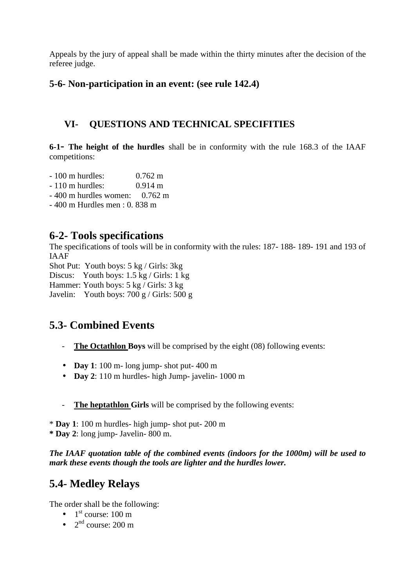Appeals by the jury of appeal shall be made within the thirty minutes after the decision of the referee judge.

### **5-6- Non-participation in an event: (see rule 142.4)**

### **VI- QUESTIONS AND TECHNICAL SPECIFITIES**

**6-1- The height of the hurdles** shall be in conformity with the rule 168.3 of the IAAF competitions:

- 100 m hurdles: 0.762 m
- 110 m hurdles: 0.914 m
- 400 m hurdles women: 0.762 m
- 400 m Hurdles men : 0. 838 m

### **6-2- Tools specifications**

The specifications of tools will be in conformity with the rules: 187- 188- 189- 191 and 193 of IAAF

Shot Put: Youth boys: 5 kg / Girls: 3kg

Discus: Youth boys: 1.5 kg / Girls: 1 kg

Hammer: Youth boys: 5 kg / Girls: 3 kg

Javelin: Youth boys: 700 g / Girls: 500 g

### **5.3- Combined Events**

- **The Octathlon Boys** will be comprised by the eight (08) following events:
- **Day 1**: 100 m- long jump- shot put- 400 m
- **Day 2**: 110 m hurdles- high Jump- javelin- 1000 m
- **The heptathlon Girls** will be comprised by the following events:

\* **Day 1**: 100 m hurdles- high jump- shot put- 200 m **\* Day 2**: long jump- Javelin- 800 m.

*The IAAF quotation table of the combined events (indoors for the 1000m) will be used to mark these events though the tools are lighter and the hurdles lower.* 

### **5.4- Medley Relays**

The order shall be the following:

- $\bullet$  1<sup>st</sup> course: 100 m
- $2<sup>nd</sup> course: 200 m$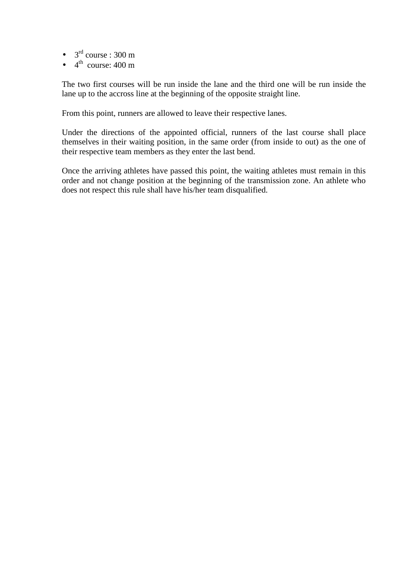- $3<sup>rd</sup> course : 300 m$
- $\bullet$  4<sup>th</sup> course: 400 m

The two first courses will be run inside the lane and the third one will be run inside the lane up to the accross line at the beginning of the opposite straight line.

From this point, runners are allowed to leave their respective lanes.

Under the directions of the appointed official, runners of the last course shall place themselves in their waiting position, in the same order (from inside to out) as the one of their respective team members as they enter the last bend.

Once the arriving athletes have passed this point, the waiting athletes must remain in this order and not change position at the beginning of the transmission zone. An athlete who does not respect this rule shall have his/her team disqualified.